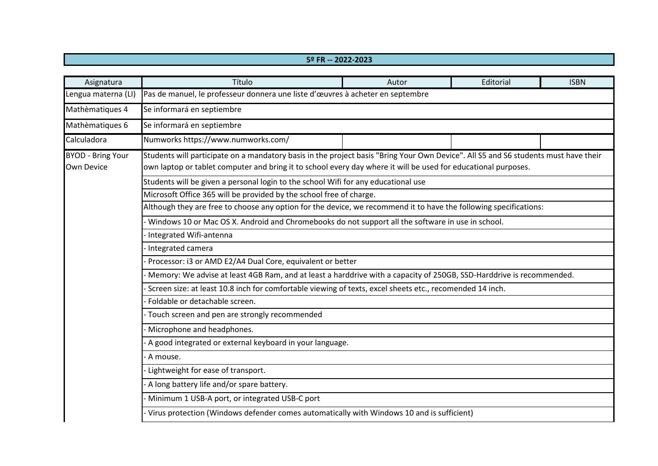## **5º FR -- 2022-2023**

| Asignatura                                    | Título                                                                                                                                                                                                                                                | Autor | Editorial | <b>ISBN</b> |  |  |
|-----------------------------------------------|-------------------------------------------------------------------------------------------------------------------------------------------------------------------------------------------------------------------------------------------------------|-------|-----------|-------------|--|--|
| Lengua materna (LI)                           | Pas de manuel, le professeur donnera une liste d'œuvres à acheter en septembre                                                                                                                                                                        |       |           |             |  |  |
| Mathèmatiques 4                               | Se informará en septiembre                                                                                                                                                                                                                            |       |           |             |  |  |
| Mathèmatiques 6                               | Se informará en septiembre                                                                                                                                                                                                                            |       |           |             |  |  |
| Calculadora                                   | Numworks https://www.numworks.com/                                                                                                                                                                                                                    |       |           |             |  |  |
| <b>BYOD - Bring Your</b><br><b>Own Device</b> | Students will participate on a mandatory basis in the project basis "Bring Your Own Device". All S5 and S6 students must have their<br>own laptop or tablet computer and bring it to school every day where it will be used for educational purposes. |       |           |             |  |  |
|                                               | Students will be given a personal login to the school Wifi for any educational use                                                                                                                                                                    |       |           |             |  |  |
|                                               | Microsoft Office 365 will be provided by the school free of charge.                                                                                                                                                                                   |       |           |             |  |  |
|                                               | Although they are free to choose any option for the device, we recommend it to have the following specifications:                                                                                                                                     |       |           |             |  |  |
|                                               | Windows 10 or Mac OS X. Android and Chromebooks do not support all the software in use in school.                                                                                                                                                     |       |           |             |  |  |
|                                               | Integrated Wifi-antenna                                                                                                                                                                                                                               |       |           |             |  |  |
|                                               | Integrated camera                                                                                                                                                                                                                                     |       |           |             |  |  |
|                                               | Processor: i3 or AMD E2/A4 Dual Core, equivalent or better                                                                                                                                                                                            |       |           |             |  |  |
|                                               | Memory: We advise at least 4GB Ram, and at least a harddrive with a capacity of 250GB, SSD-Harddrive is recommended.                                                                                                                                  |       |           |             |  |  |
|                                               | Screen size: at least 10.8 inch for comfortable viewing of texts, excel sheets etc., recomended 14 inch.                                                                                                                                              |       |           |             |  |  |
|                                               | Foldable or detachable screen.                                                                                                                                                                                                                        |       |           |             |  |  |
|                                               | - Touch screen and pen are strongly recommended                                                                                                                                                                                                       |       |           |             |  |  |
|                                               | Microphone and headphones.                                                                                                                                                                                                                            |       |           |             |  |  |
|                                               | A good integrated or external keyboard in your language.                                                                                                                                                                                              |       |           |             |  |  |
|                                               | - A mouse.                                                                                                                                                                                                                                            |       |           |             |  |  |
|                                               | Lightweight for ease of transport.                                                                                                                                                                                                                    |       |           |             |  |  |
|                                               | A long battery life and/or spare battery.                                                                                                                                                                                                             |       |           |             |  |  |
|                                               | Minimum 1 USB-A port, or integrated USB-C port                                                                                                                                                                                                        |       |           |             |  |  |
|                                               | Virus protection (Windows defender comes automatically with Windows 10 and is sufficient)                                                                                                                                                             |       |           |             |  |  |